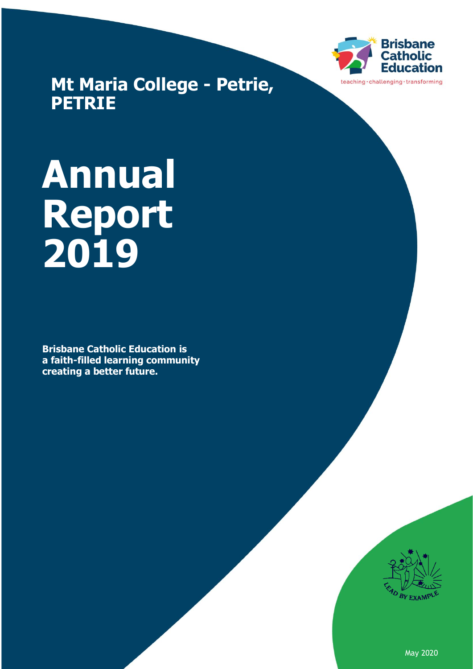

**Mt Maria College - Petrie, PETRIE**

# **Annual Report 2019**

**Brisbane Catholic Education is a faith-filled learning community creating a better future.**



May 2020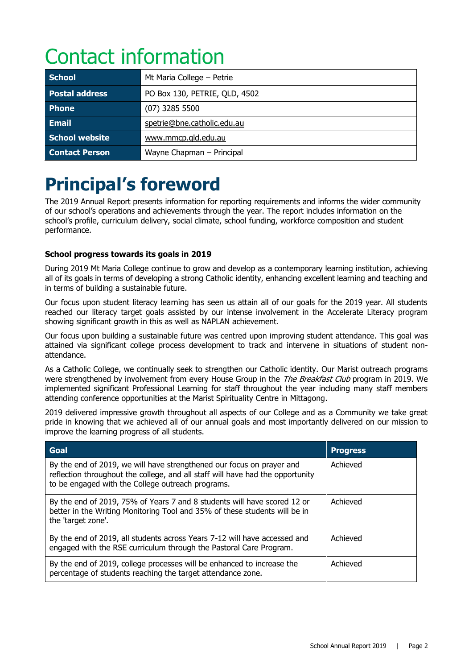# Contact information

| <b>School</b>         | Mt Maria College - Petrie     |
|-----------------------|-------------------------------|
| <b>Postal address</b> | PO Box 130, PETRIE, QLD, 4502 |
| <b>Phone</b>          | $(07)$ 3285 5500              |
| <b>Email</b>          | spetrie@bne.catholic.edu.au   |
| School website        | www.mmcp.gld.edu.au           |
| <b>Contact Person</b> | Wayne Chapman - Principal     |

## **Principal's foreword**

The 2019 Annual Report presents information for reporting requirements and informs the wider community of our school's operations and achievements through the year. The report includes information on the school's profile, curriculum delivery, social climate, school funding, workforce composition and student performance.

#### **School progress towards its goals in 2019**

During 2019 Mt Maria College continue to grow and develop as a contemporary learning institution, achieving all of its goals in terms of developing a strong Catholic identity, enhancing excellent learning and teaching and in terms of building a sustainable future.

Our focus upon student literacy learning has seen us attain all of our goals for the 2019 year. All students reached our literacy target goals assisted by our intense involvement in the Accelerate Literacy program showing significant growth in this as well as NAPLAN achievement.

Our focus upon building a sustainable future was centred upon improving student attendance. This goal was attained via significant college process development to track and intervene in situations of student nonattendance.

As a Catholic College, we continually seek to strengthen our Catholic identity. Our Marist outreach programs were strengthened by involvement from every House Group in the *The Breakfast Club* program in 2019. We implemented significant Professional Learning for staff throughout the year including many staff members attending conference opportunities at the Marist Spirituality Centre in Mittagong.

2019 delivered impressive growth throughout all aspects of our College and as a Community we take great pride in knowing that we achieved all of our annual goals and most importantly delivered on our mission to improve the learning progress of all students.

| Goal                                                                                                                                                                                                         | <b>Progress</b> |
|--------------------------------------------------------------------------------------------------------------------------------------------------------------------------------------------------------------|-----------------|
| By the end of 2019, we will have strengthened our focus on prayer and<br>reflection throughout the college, and all staff will have had the opportunity<br>to be engaged with the College outreach programs. | Achieved        |
| By the end of 2019, 75% of Years 7 and 8 students will have scored 12 or<br>better in the Writing Monitoring Tool and 35% of these students will be in<br>the 'target zone'.                                 | Achieved        |
| By the end of 2019, all students across Years 7-12 will have accessed and<br>engaged with the RSE curriculum through the Pastoral Care Program.                                                              | Achieved        |
| By the end of 2019, college processes will be enhanced to increase the<br>percentage of students reaching the target attendance zone.                                                                        | Achieved        |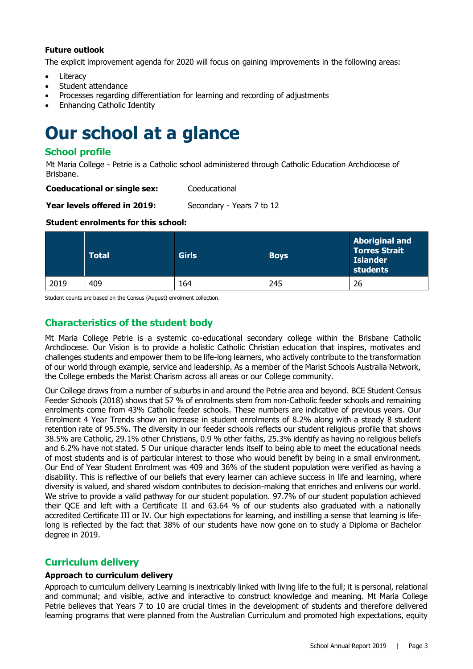#### **Future outlook**

The explicit improvement agenda for 2020 will focus on gaining improvements in the following areas:

- Literacy
- Student attendance
- Processes regarding differentiation for learning and recording of adjustments
- Enhancing Catholic Identity

### **Our school at a glance**

#### **School profile**

Mt Maria College - Petrie is a Catholic school administered through Catholic Education Archdiocese of Brisbane.

| <b>Coeducational or single sex:</b> | Coeducational |
|-------------------------------------|---------------|
|-------------------------------------|---------------|

**Year levels offered in 2019:** Secondary - Years 7 to 12

#### **Student enrolments for this school:**

|      | <b>Total</b> | <b>Girls</b> | <b>Boys</b> | <b>Aboriginal and</b><br><b>Torres Strait</b><br><b>Islander</b><br>students |
|------|--------------|--------------|-------------|------------------------------------------------------------------------------|
| 2019 | 409          | 164          | 245         | 26                                                                           |

Student counts are based on the Census (August) enrolment collection.

#### **Characteristics of the student body**

Mt Maria College Petrie is a systemic co-educational secondary college within the Brisbane Catholic Archdiocese. Our Vision is to provide a holistic Catholic Christian education that inspires, motivates and challenges students and empower them to be life-long learners, who actively contribute to the transformation of our world through example, service and leadership. As a member of the Marist Schools Australia Network, the College embeds the Marist Charism across all areas or our College community.

Our College draws from a number of suburbs in and around the Petrie area and beyond. BCE Student Census Feeder Schools (2018) shows that 57 % of enrolments stem from non-Catholic feeder schools and remaining enrolments come from 43% Catholic feeder schools. These numbers are indicative of previous years. Our Enrolment 4 Year Trends show an increase in student enrolments of 8.2% along with a steady 8 student retention rate of 95.5%. The diversity in our feeder schools reflects our student religious profile that shows 38.5% are Catholic, 29.1% other Christians, 0.9 % other faiths, 25.3% identify as having no religious beliefs and 6.2% have not stated. 5 Our unique character lends itself to being able to meet the educational needs of most students and is of particular interest to those who would benefit by being in a small environment. Our End of Year Student Enrolment was 409 and 36% of the student population were verified as having a disability. This is reflective of our beliefs that every learner can achieve success in life and learning, where diversity is valued, and shared wisdom contributes to decision-making that enriches and enlivens our world. We strive to provide a valid pathway for our student population. 97.7% of our student population achieved their QCE and left with a Certificate II and 63.64 % of our students also graduated with a nationally accredited Certificate III or IV. Our high expectations for learning, and instilling a sense that learning is lifelong is reflected by the fact that 38% of our students have now gone on to study a Diploma or Bachelor degree in 2019.

#### **Curriculum delivery**

#### **Approach to curriculum delivery**

Approach to curriculum delivery Learning is inextricably linked with living life to the full; it is personal, relational and communal; and visible, active and interactive to construct knowledge and meaning. Mt Maria College Petrie believes that Years 7 to 10 are crucial times in the development of students and therefore delivered learning programs that were planned from the Australian Curriculum and promoted high expectations, equity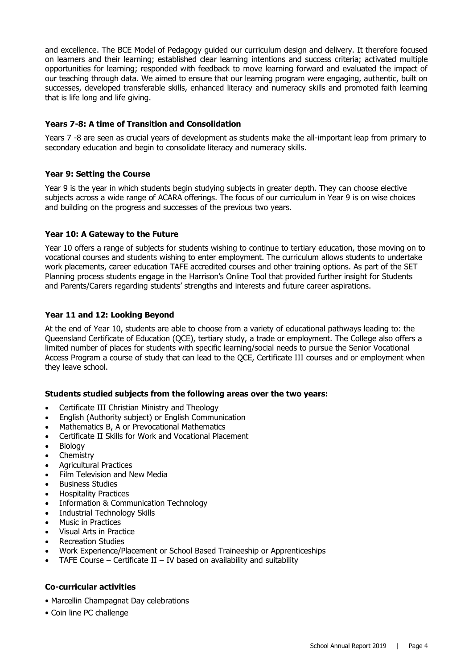and excellence. The BCE Model of Pedagogy guided our curriculum design and delivery. It therefore focused on learners and their learning; established clear learning intentions and success criteria; activated multiple opportunities for learning; responded with feedback to move learning forward and evaluated the impact of our teaching through data. We aimed to ensure that our learning program were engaging, authentic, built on successes, developed transferable skills, enhanced literacy and numeracy skills and promoted faith learning that is life long and life giving.

#### **Years 7-8: A time of Transition and Consolidation**

Years 7 -8 are seen as crucial years of development as students make the all-important leap from primary to secondary education and begin to consolidate literacy and numeracy skills.

#### **Year 9: Setting the Course**

Year 9 is the year in which students begin studying subjects in greater depth. They can choose elective subjects across a wide range of ACARA offerings. The focus of our curriculum in Year 9 is on wise choices and building on the progress and successes of the previous two years.

#### **Year 10: A Gateway to the Future**

Year 10 offers a range of subjects for students wishing to continue to tertiary education, those moving on to vocational courses and students wishing to enter employment. The curriculum allows students to undertake work placements, career education TAFE accredited courses and other training options. As part of the SET Planning process students engage in the Harrison's Online Tool that provided further insight for Students and Parents/Carers regarding students' strengths and interests and future career aspirations.

#### **Year 11 and 12: Looking Beyond**

At the end of Year 10, students are able to choose from a variety of educational pathways leading to: the Queensland Certificate of Education (QCE), tertiary study, a trade or employment. The College also offers a limited number of places for students with specific learning/social needs to pursue the Senior Vocational Access Program a course of study that can lead to the QCE, Certificate III courses and or employment when they leave school.

#### **Students studied subjects from the following areas over the two years:**

- Certificate III Christian Ministry and Theology
- English (Authority subject) or English Communication
- Mathematics B, A or Prevocational Mathematics
- Certificate II Skills for Work and Vocational Placement
- **Biology**
- Chemistry
- Agricultural Practices
- Film Television and New Media
- Business Studies
- Hospitality Practices
- Information & Communication Technology
- Industrial Technology Skills
- Music in Practices
- Visual Arts in Practice
- Recreation Studies
- Work Experience/Placement or School Based Traineeship or Apprenticeships
- TAFE Course Certificate II IV based on availability and suitability

#### **Co-curricular activities**

- Marcellin Champagnat Day celebrations
- Coin line PC challenge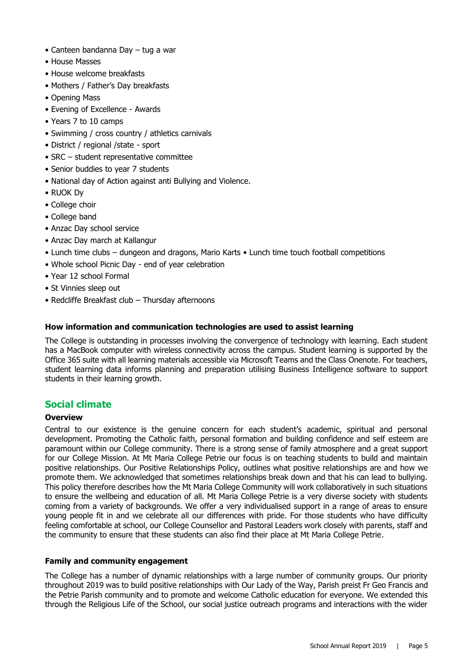- Canteen bandanna Day tug a war
- House Masses
- House welcome breakfasts
- Mothers / Father's Day breakfasts
- Opening Mass
- Evening of Excellence Awards
- Years 7 to 10 camps
- Swimming / cross country / athletics carnivals
- District / regional /state sport
- SRC student representative committee
- Senior buddies to year 7 students
- National day of Action against anti Bullying and Violence.
- RUOK Dy
- College choir
- College band
- Anzac Day school service
- Anzac Day march at Kallangur
- Lunch time clubs dungeon and dragons, Mario Karts Lunch time touch football competitions
- Whole school Picnic Day end of year celebration
- Year 12 school Formal
- St Vinnies sleep out
- Redcliffe Breakfast club Thursday afternoons

#### **How information and communication technologies are used to assist learning**

The College is outstanding in processes involving the convergence of technology with learning. Each student has a MacBook computer with wireless connectivity across the campus. Student learning is supported by the Office 365 suite with all learning materials accessible via Microsoft Teams and the Class Onenote. For teachers, student learning data informs planning and preparation utilising Business Intelligence software to support students in their learning growth.

#### **Social climate**

#### **Overview**

Central to our existence is the genuine concern for each student's academic, spiritual and personal development. Promoting the Catholic faith, personal formation and building confidence and self esteem are paramount within our College community. There is a strong sense of family atmosphere and a great support for our College Mission. At Mt Maria College Petrie our focus is on teaching students to build and maintain positive relationships. Our Positive Relationships Policy, outlines what positive relationships are and how we promote them. We acknowledged that sometimes relationships break down and that his can lead to bullying. This policy therefore describes how the Mt Maria College Community will work collaboratively in such situations to ensure the wellbeing and education of all. Mt Maria College Petrie is a very diverse society with students coming from a variety of backgrounds. We offer a very individualised support in a range of areas to ensure young people fit in and we celebrate all our differences with pride. For those students who have difficulty feeling comfortable at school, our College Counsellor and Pastoral Leaders work closely with parents, staff and the community to ensure that these students can also find their place at Mt Maria College Petrie.

#### **Family and community engagement**

The College has a number of dynamic relationships with a large number of community groups. Our priority throughout 2019 was to build positive relationships with Our Lady of the Way, Parish preist Fr Geo Francis and the Petrie Parish community and to promote and welcome Catholic education for everyone. We extended this through the Religious Life of the School, our social justice outreach programs and interactions with the wider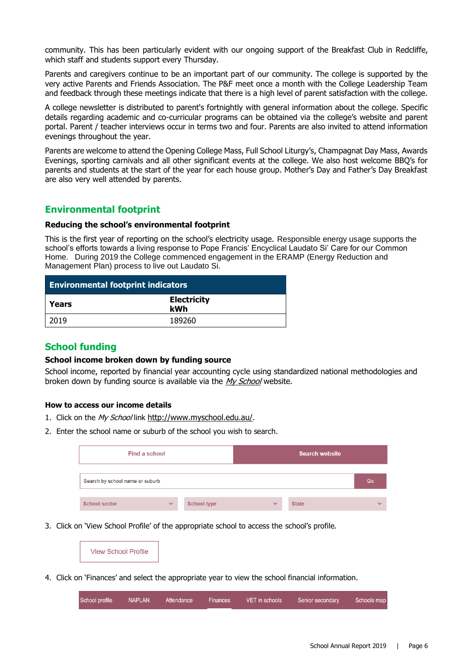community. This has been particularly evident with our ongoing support of the Breakfast Club in Redcliffe, which staff and students support every Thursday.

Parents and caregivers continue to be an important part of our community. The college is supported by the very active Parents and Friends Association. The P&F meet once a month with the College Leadership Team and feedback through these meetings indicate that there is a high level of parent satisfaction with the college.

A college newsletter is distributed to parent's fortnightly with general information about the college. Specific details regarding academic and co-curricular programs can be obtained via the college's website and parent portal. Parent / teacher interviews occur in terms two and four. Parents are also invited to attend information evenings throughout the year.

Parents are welcome to attend the Opening College Mass, Full School Liturgy's, Champagnat Day Mass, Awards Evenings, sporting carnivals and all other significant events at the college. We also host welcome BBQ's for parents and students at the start of the year for each house group. Mother's Day and Father's Day Breakfast are also very well attended by parents.

#### **Environmental footprint**

#### **Reducing the school's environmental footprint**

This is the first year of reporting on the school's electricity usage. Responsible energy usage supports the school's efforts towards a living response to Pope Francis' Encyclical Laudato Si' Care for our Common Home. During 2019 the College commenced engagement in the ERAMP (Energy Reduction and Management Plan) process to live out Laudato Si.

| <b>Environmental footprint indicators</b> |                           |  |
|-------------------------------------------|---------------------------|--|
| Years                                     | <b>Electricity</b><br>kWh |  |
| 2019                                      | 189260                    |  |

#### **School funding**

#### **School income broken down by funding source**

School income, reported by financial year accounting cycle using standardized national methodologies and broken down by funding source is available via the [My School](http://www.myschool.edu.au/) website.

#### **How to access our income details**

- 1. Click on the My School link <http://www.myschool.edu.au/>.
- 2. Enter the school name or suburb of the school you wish to search.

| Find a school                   |              |                    |              | <b>Search website</b> |              |
|---------------------------------|--------------|--------------------|--------------|-----------------------|--------------|
| Search by school name or suburb |              |                    |              |                       | Go           |
| <b>School sector</b>            | $\checkmark$ | <b>School type</b> | $\checkmark$ | <b>State</b>          | $\checkmark$ |

3. Click on 'View School Profile' of the appropriate school to access the school's profile.

|--|

4. Click on 'Finances' and select the appropriate year to view the school financial information.

| School profile | <b>NAPLAN</b> | Attendance | Finances 1 | VET in schools | Senior secondary | Schools mar |
|----------------|---------------|------------|------------|----------------|------------------|-------------|
|                |               |            |            |                |                  |             |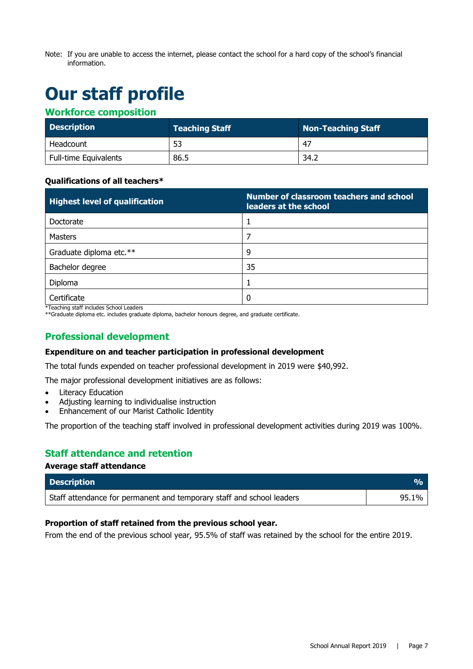Note: If you are unable to access the internet, please contact the school for a hard copy of the school's financial information.

# **Our staff profile**

#### **Workforce composition**

| <b>Description</b>           | <b>Teaching Staff</b> | Non-Teaching Staff |
|------------------------------|-----------------------|--------------------|
| Headcount                    | 53                    | -47                |
| <b>Full-time Equivalents</b> | 86.5                  | 34.2               |

#### **Qualifications of all teachers\***

| <b>Highest level of qualification</b> | Number of classroom teachers and school<br>leaders at the school |
|---------------------------------------|------------------------------------------------------------------|
| Doctorate                             |                                                                  |
| <b>Masters</b>                        |                                                                  |
| Graduate diploma etc.**               | 9                                                                |
| Bachelor degree                       | 35                                                               |
| Diploma                               |                                                                  |
| Certificate                           | 0                                                                |

\*Teaching staff includes School Leaders

\*\*Graduate diploma etc. includes graduate diploma, bachelor honours degree, and graduate certificate.

#### **Professional development**

#### **Expenditure on and teacher participation in professional development**

The total funds expended on teacher professional development in 2019 were \$40,992.

The major professional development initiatives are as follows:

- **Literacy Education**
- Adjusting learning to individualise instruction
- Enhancement of our Marist Catholic Identity

The proportion of the teaching staff involved in professional development activities during 2019 was 100%.

#### **Staff attendance and retention**

**Average staff attendance**

| <b>Description</b>                                                    |       |
|-----------------------------------------------------------------------|-------|
| Staff attendance for permanent and temporary staff and school leaders | 95.1% |

#### **Proportion of staff retained from the previous school year.**

From the end of the previous school year, 95.5% of staff was retained by the school for the entire 2019.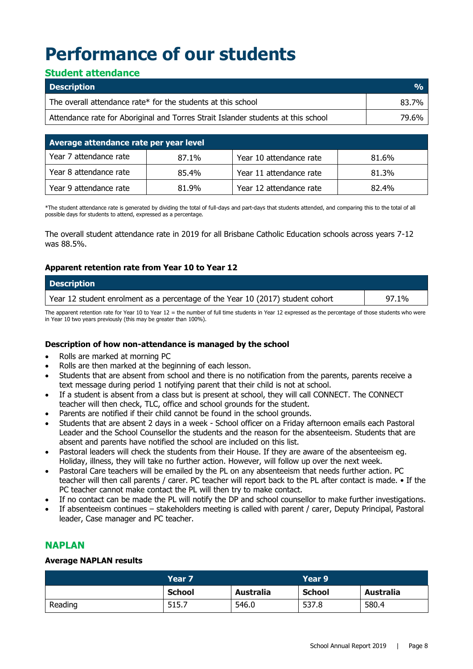# **Performance of our students**

#### **Student attendance**

| <b>Description</b>                                                                | $\frac{0}{0}$ |
|-----------------------------------------------------------------------------------|---------------|
| The overall attendance rate* for the students at this school                      | 83.7%         |
| Attendance rate for Aboriginal and Torres Strait Islander students at this school | 79.6%         |

| Average attendance rate per year level |       |                         |       |  |
|----------------------------------------|-------|-------------------------|-------|--|
| Year 7 attendance rate                 | 87.1% | Year 10 attendance rate | 81.6% |  |
| Year 8 attendance rate                 | 85.4% | Year 11 attendance rate | 81.3% |  |
| Year 9 attendance rate                 | 81.9% | Year 12 attendance rate | 82.4% |  |

\*The student attendance rate is generated by dividing the total of full-days and part-days that students attended, and comparing this to the total of all possible days for students to attend, expressed as a percentage.

The overall student attendance rate in 2019 for all Brisbane Catholic Education schools across years 7-12 was 88.5%.

#### **Apparent retention rate from Year 10 to Year 12**

| <b>Description</b>                                                             |       |
|--------------------------------------------------------------------------------|-------|
| Year 12 student enrolment as a percentage of the Year 10 (2017) student cohort | 97.1% |
| $-$                                                                            |       |

The apparent retention rate for Year 10 to Year 12 = the number of full time students in Year 12 expressed as the percentage of those students who were in Year 10 two years previously (this may be greater than 100%).

#### **Description of how non-attendance is managed by the school**

- Rolls are marked at morning PC
- Rolls are then marked at the beginning of each lesson.
- Students that are absent from school and there is no notification from the parents, parents receive a text message during period 1 notifying parent that their child is not at school.
- If a student is absent from a class but is present at school, they will call CONNECT. The CONNECT teacher will then check, TLC, office and school grounds for the student.
- Parents are notified if their child cannot be found in the school grounds.
- Students that are absent 2 days in a week School officer on a Friday afternoon emails each Pastoral Leader and the School Counsellor the students and the reason for the absenteeism. Students that are absent and parents have notified the school are included on this list.
- Pastoral leaders will check the students from their House. If they are aware of the absenteeism eg. Holiday, illness, they will take no further action. However, will follow up over the next week.
- Pastoral Care teachers will be emailed by the PL on any absenteeism that needs further action. PC teacher will then call parents / carer. PC teacher will report back to the PL after contact is made. • If the PC teacher cannot make contact the PL will then try to make contact.
- If no contact can be made the PL will notify the DP and school counsellor to make further investigations.
- If absenteeism continues stakeholders meeting is called with parent / carer, Deputy Principal, Pastoral leader, Case manager and PC teacher.

#### **NAPLAN**

#### **Average NAPLAN results**

|         | Year 7        |                  | Year 9        |                  |
|---------|---------------|------------------|---------------|------------------|
|         | <b>School</b> | <b>Australia</b> | <b>School</b> | <b>Australia</b> |
| Reading | 515.7         | 546.0            | 537.8         | 580.4            |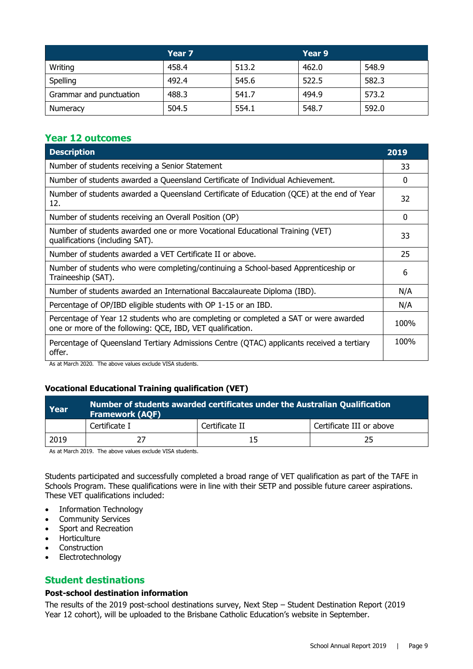|                         | Year <sub>7</sub> |       | Year 9 |       |
|-------------------------|-------------------|-------|--------|-------|
| Writing                 | 458.4             | 513.2 | 462.0  | 548.9 |
| Spelling                | 492.4             | 545.6 | 522.5  | 582.3 |
| Grammar and punctuation | 488.3             | 541.7 | 494.9  | 573.2 |
| Numeracy                | 504.5             | 554.1 | 548.7  | 592.0 |

#### **Year 12 outcomes**

| <b>Description</b>                                                                                                                                 | 2019 |
|----------------------------------------------------------------------------------------------------------------------------------------------------|------|
| Number of students receiving a Senior Statement                                                                                                    | 33   |
| Number of students awarded a Queensland Certificate of Individual Achievement.                                                                     | 0    |
| Number of students awarded a Queensland Certificate of Education (QCE) at the end of Year<br>12.                                                   | 32   |
| Number of students receiving an Overall Position (OP)                                                                                              | 0    |
| Number of students awarded one or more Vocational Educational Training (VET)<br>qualifications (including SAT).                                    | 33   |
| Number of students awarded a VET Certificate II or above.                                                                                          | 25   |
| Number of students who were completing/continuing a School-based Apprenticeship or<br>Traineeship (SAT).                                           | 6    |
| Number of students awarded an International Baccalaureate Diploma (IBD).                                                                           | N/A  |
| Percentage of OP/IBD eligible students with OP 1-15 or an IBD.                                                                                     | N/A  |
| Percentage of Year 12 students who are completing or completed a SAT or were awarded<br>one or more of the following: QCE, IBD, VET qualification. | 100% |
| Percentage of Queensland Tertiary Admissions Centre (QTAC) applicants received a tertiary<br>offer.                                                | 100% |

As at March 2020. The above values exclude VISA students.

#### **Vocational Educational Training qualification (VET)**

| Year | Number of students awarded certificates under the Australian Qualification<br><b>Framework (AQF)</b> |                |                          |  |
|------|------------------------------------------------------------------------------------------------------|----------------|--------------------------|--|
|      | Certificate I                                                                                        | Certificate II | Certificate III or above |  |
| 2019 |                                                                                                      |                | ,,                       |  |

As at March 2019. The above values exclude VISA students.

Students participated and successfully completed a broad range of VET qualification as part of the TAFE in Schools Program. These qualifications were in line with their SETP and possible future career aspirations. These VET qualifications included:

- Information Technology
- Community Services
- Sport and Recreation
- Horticulture
- Construction
- Electrotechnology

#### **Student destinations**

#### **Post-school destination information**

The results of the 2019 post-school destinations survey, Next Step – Student Destination Report (2019 Year 12 cohort), will be uploaded to the Brisbane Catholic Education's website in September.